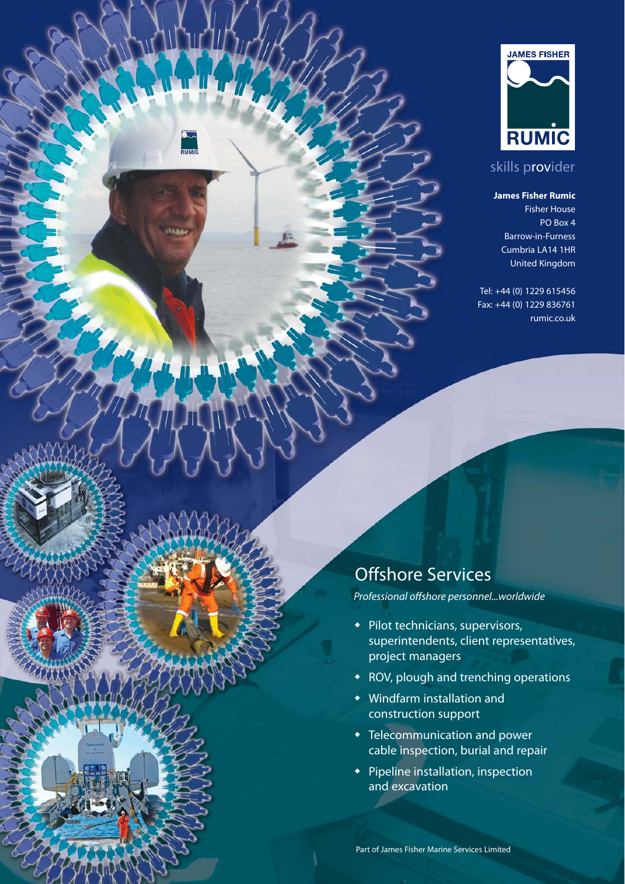

## skills provider

#### **James Fisher Rumic**

Fisher House PO Box 4 Barrow-in-Furness Cumbria LA14 1HR United Kingdom

Tel: +44 (0) 1229 615456 Fax: +44 (0) 1229 836761 rumic.co.uk

# Offshore Services

.<br>זטואוני

*Professional offshore personnel...worldwide*

- $\bullet$  Pilot technicians, supervisors, superintendents, client representatives, project managers
- ROV, plough and trenching operations
- $\bullet$  Windfarm installation and construction support
- $\bullet$  Telecommunication and power cable inspection, burial and repair
- $\bullet$  Pipeline installation, inspection and excavation